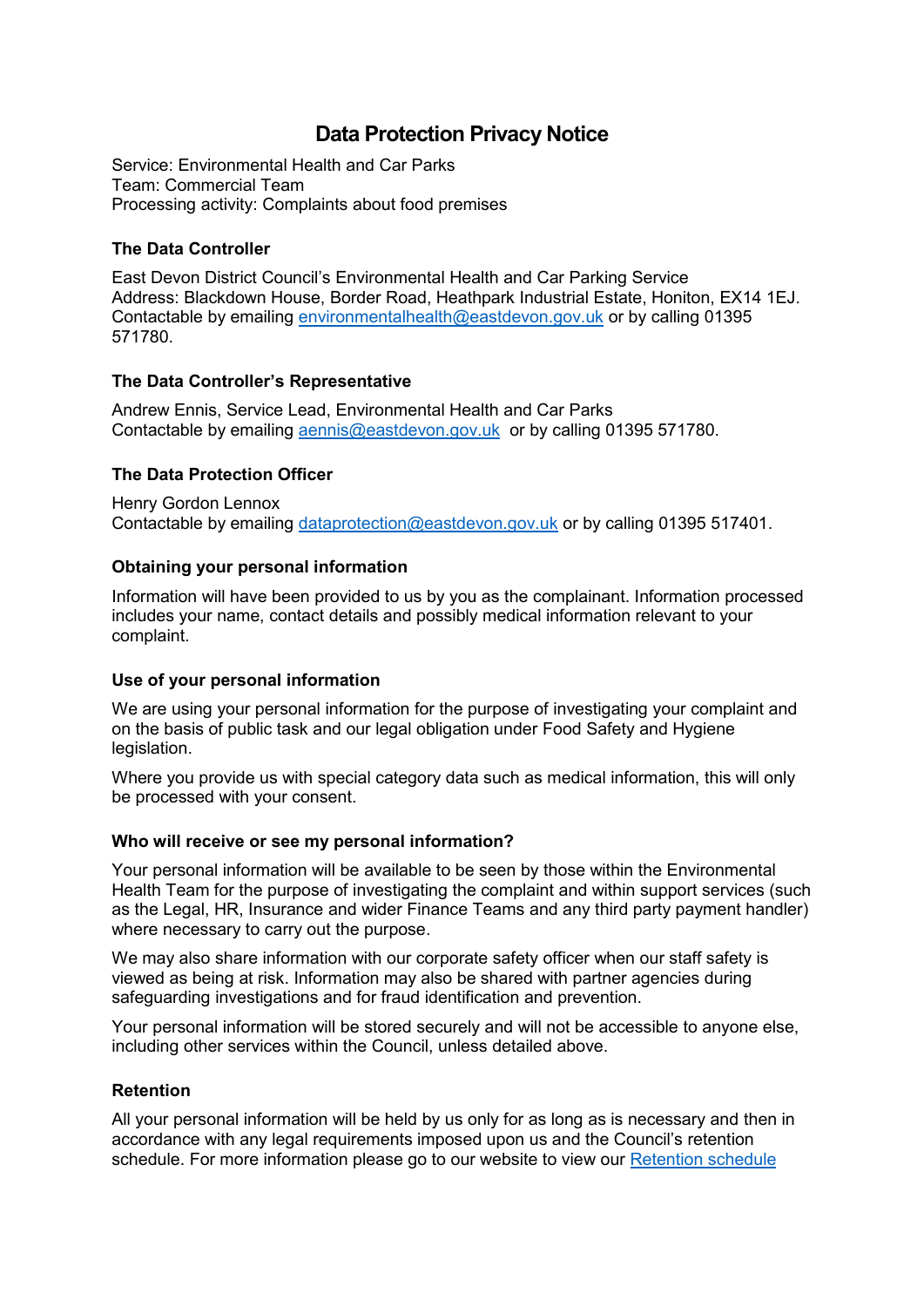# **Data Protection Privacy Notice**

Service: Environmental Health and Car Parks Team: Commercial Team Processing activity: Complaints about food premises

# **The Data Controller**

East Devon District Council's Environmental Health and Car Parking Service Address: Blackdown House, Border Road, Heathpark Industrial Estate, Honiton, EX14 1EJ. Contactable by emailing [environmentalhealth@eastdevon.gov.uk](mailto:environmentalhealth@eastdevon.gov.uk) or by calling 01395 571780.

# **The Data Controller's Representative**

Andrew Ennis, Service Lead, Environmental Health and Car Parks Contactable by emailing [aennis@eastdevon.gov.uk](mailto:aennis@eastdevon.gov.uk) or by calling 01395 571780.

# **The Data Protection Officer**

Henry Gordon Lennox Contactable by emailing [dataprotection@eastdevon.gov.uk](mailto:dataprotection@eastdevon.gov.uk) or by calling 01395 517401.

# **Obtaining your personal information**

Information will have been provided to us by you as the complainant. Information processed includes your name, contact details and possibly medical information relevant to your complaint.

## **Use of your personal information**

We are using your personal information for the purpose of investigating your complaint and on the basis of public task and our legal obligation under Food Safety and Hygiene legislation.

Where you provide us with special category data such as medical information, this will only be processed with your consent.

## **Who will receive or see my personal information?**

Your personal information will be available to be seen by those within the Environmental Health Team for the purpose of investigating the complaint and within support services (such as the Legal, HR, Insurance and wider Finance Teams and any third party payment handler) where necessary to carry out the purpose.

We may also share information with our corporate safety officer when our staff safety is viewed as being at risk. Information may also be shared with partner agencies during safeguarding investigations and for fraud identification and prevention.

Your personal information will be stored securely and will not be accessible to anyone else, including other services within the Council, unless detailed above.

## **Retention**

All your personal information will be held by us only for as long as is necessary and then in accordance with any legal requirements imposed upon us and the Council's retention schedule. For more information please go to our website to view our [Retention schedule](http://eastdevon.gov.uk/access-to-information/data-protection/document-retention-schedules/)